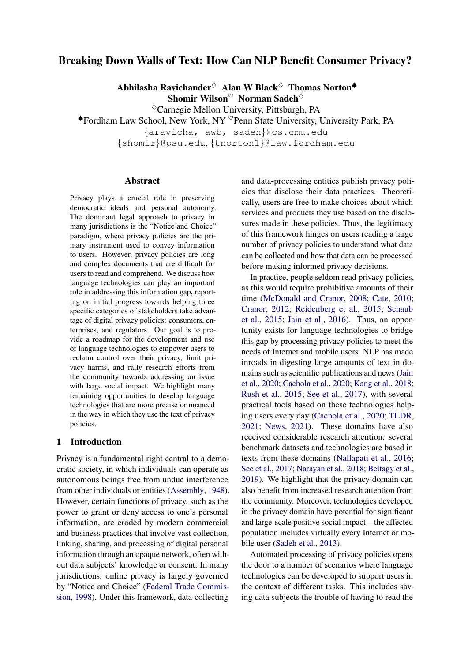## Breaking Down Walls of Text: How Can NLP Benefit Consumer Privacy?

Abhilasha Ravichander $\diamond$  Alan W Black $\diamond$  Thomas Norton Shomir Wilson $\heartsuit$  Norman Sadeh $\diamond$ 

 $\Diamond$ Carnegie Mellon University, Pittsburgh, PA

♠Fordham Law School, New York, NY ♥Penn State University, University Park, PA {aravicha, awb, sadeh}@cs.cmu.edu {shomir}@psu.edu, {tnorton1}@law.fordham.edu

#### Abstract

Privacy plays a crucial role in preserving democratic ideals and personal autonomy. The dominant legal approach to privacy in many jurisdictions is the "Notice and Choice" paradigm, where privacy policies are the primary instrument used to convey information to users. However, privacy policies are long and complex documents that are difficult for users to read and comprehend. We discuss how language technologies can play an important role in addressing this information gap, reporting on initial progress towards helping three specific categories of stakeholders take advantage of digital privacy policies: consumers, enterprises, and regulators. Our goal is to provide a roadmap for the development and use of language technologies to empower users to reclaim control over their privacy, limit privacy harms, and rally research efforts from the community towards addressing an issue with large social impact. We highlight many remaining opportunities to develop language technologies that are more precise or nuanced in the way in which they use the text of privacy policies.

## 1 Introduction

Privacy is a fundamental right central to a democratic society, in which individuals can operate as autonomous beings free from undue interference from other individuals or entities [\(Assembly,](#page-9-0) [1948\)](#page-9-0). However, certain functions of privacy, such as the power to grant or deny access to one's personal information, are eroded by modern commercial and business practices that involve vast collection, linking, sharing, and processing of digital personal information through an opaque network, often without data subjects' knowledge or consent. In many jurisdictions, online privacy is largely governed by "Notice and Choice" [\(Federal Trade Commis](#page-10-0)[sion,](#page-10-0) [1998\)](#page-10-0). Under this framework, data-collecting

and data-processing entities publish privacy policies that disclose their data practices. Theoretically, users are free to make choices about which services and products they use based on the disclosures made in these policies. Thus, the legitimacy of this framework hinges on users reading a large number of privacy policies to understand what data can be collected and how that data can be processed before making informed privacy decisions.

In practice, people seldom read privacy policies, as this would require prohibitive amounts of their time [\(McDonald and Cranor,](#page-11-0) [2008;](#page-11-0) [Cate,](#page-9-1) [2010;](#page-9-1) [Cranor,](#page-9-2) [2012;](#page-9-2) [Reidenberg et al.,](#page-12-0) [2015;](#page-12-0) [Schaub](#page-12-1) [et al.,](#page-12-1) [2015;](#page-12-1) [Jain et al.,](#page-10-1) [2016\)](#page-10-1). Thus, an opportunity exists for language technologies to bridge this gap by processing privacy policies to meet the needs of Internet and mobile users. NLP has made inroads in digesting large amounts of text in domains such as scientific publications and news [\(Jain](#page-10-2) [et al.,](#page-10-2) [2020;](#page-10-2) [Cachola et al.,](#page-9-3) [2020;](#page-9-3) [Kang et al.,](#page-10-3) [2018;](#page-10-3) [Rush et al.,](#page-12-2) [2015;](#page-12-2) [See et al.,](#page-12-3) [2017\)](#page-12-3), with several practical tools based on these technologies helping users every day [\(Cachola et al.,](#page-9-3) [2020;](#page-9-3) [TLDR,](#page-13-0) [2021;](#page-13-0) [News,](#page-12-4) [2021\)](#page-12-4). These domains have also received considerable research attention: several benchmark datasets and technologies are based in texts from these domains [\(Nallapati et al.,](#page-12-5) [2016;](#page-12-5) [See et al.,](#page-12-3) [2017;](#page-12-3) [Narayan et al.,](#page-12-6) [2018;](#page-12-6) [Beltagy et al.,](#page-9-4) [2019\)](#page-9-4). We highlight that the privacy domain can also benefit from increased research attention from the community. Moreover, technologies developed in the privacy domain have potential for significant and large-scale positive social impact—the affected population includes virtually every Internet or mobile user [\(Sadeh et al.,](#page-12-7) [2013\)](#page-12-7).

Automated processing of privacy policies opens the door to a number of scenarios where language technologies can be developed to support users in the context of different tasks. This includes saving data subjects the trouble of having to read the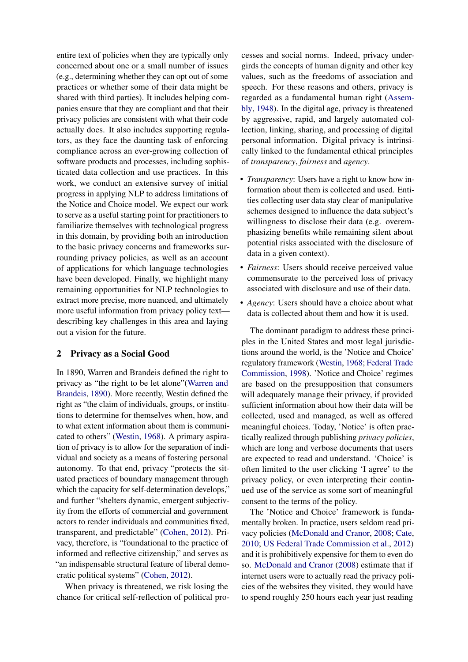entire text of policies when they are typically only concerned about one or a small number of issues (e.g., determining whether they can opt out of some practices or whether some of their data might be shared with third parties). It includes helping companies ensure that they are compliant and that their privacy policies are consistent with what their code actually does. It also includes supporting regulators, as they face the daunting task of enforcing compliance across an ever-growing collection of software products and processes, including sophisticated data collection and use practices. In this work, we conduct an extensive survey of initial progress in applying NLP to address limitations of the Notice and Choice model. We expect our work to serve as a useful starting point for practitioners to familiarize themselves with technological progress in this domain, by providing both an introduction to the basic privacy concerns and frameworks surrounding privacy policies, as well as an account of applications for which language technologies have been developed. Finally, we highlight many remaining opportunities for NLP technologies to extract more precise, more nuanced, and ultimately more useful information from privacy policy text describing key challenges in this area and laying out a vision for the future.

#### 2 Privacy as a Social Good

In 1890, Warren and Brandeis defined the right to privacy as "the right to be let alone"[\(Warren and](#page-13-1) [Brandeis,](#page-13-1) [1890\)](#page-13-1). More recently, Westin defined the right as "the claim of individuals, groups, or institutions to determine for themselves when, how, and to what extent information about them is communicated to others" [\(Westin,](#page-13-2) [1968\)](#page-13-2). A primary aspiration of privacy is to allow for the separation of individual and society as a means of fostering personal autonomy. To that end, privacy "protects the situated practices of boundary management through which the capacity for self-determination develops," and further "shelters dynamic, emergent subjectivity from the efforts of commercial and government actors to render individuals and communities fixed, transparent, and predictable" [\(Cohen,](#page-9-5) [2012\)](#page-9-5). Privacy, therefore, is "foundational to the practice of informed and reflective citizenship," and serves as "an indispensable structural feature of liberal democratic political systems" [\(Cohen,](#page-9-5) [2012\)](#page-9-5).

When privacy is threatened, we risk losing the chance for critical self-reflection of political processes and social norms. Indeed, privacy undergirds the concepts of human dignity and other key values, such as the freedoms of association and speech. For these reasons and others, privacy is regarded as a fundamental human right [\(Assem](#page-9-0)[bly,](#page-9-0) [1948\)](#page-9-0). In the digital age, privacy is threatened by aggressive, rapid, and largely automated collection, linking, sharing, and processing of digital personal information. Digital privacy is intrinsically linked to the fundamental ethical principles of *transparency*, *fairness* and *agency*.

- *Transparency*: Users have a right to know how information about them is collected and used. Entities collecting user data stay clear of manipulative schemes designed to influence the data subject's willingness to disclose their data (e.g. overemphasizing benefits while remaining silent about potential risks associated with the disclosure of data in a given context).
- *Fairness*: Users should receive perceived value commensurate to the perceived loss of privacy associated with disclosure and use of their data.
- *Agency*: Users should have a choice about what data is collected about them and how it is used.

The dominant paradigm to address these principles in the United States and most legal jurisdictions around the world, is the 'Notice and Choice' regulatory framework [\(Westin,](#page-13-2) [1968;](#page-13-2) [Federal Trade](#page-10-0) [Commission,](#page-10-0) [1998\)](#page-10-0). 'Notice and Choice' regimes are based on the presupposition that consumers will adequately manage their privacy, if provided sufficient information about how their data will be collected, used and managed, as well as offered meaningful choices. Today, 'Notice' is often practically realized through publishing *privacy policies*, which are long and verbose documents that users are expected to read and understand. 'Choice' is often limited to the user clicking 'I agree' to the privacy policy, or even interpreting their continued use of the service as some sort of meaningful consent to the terms of the policy.

The 'Notice and Choice' framework is fundamentally broken. In practice, users seldom read privacy policies [\(McDonald and Cranor,](#page-11-0) [2008;](#page-11-0) [Cate,](#page-9-1) [2010;](#page-9-1) [US Federal Trade Commission et al.,](#page-13-3) [2012\)](#page-13-3) and it is prohibitively expensive for them to even do so. [McDonald and Cranor](#page-11-0) [\(2008\)](#page-11-0) estimate that if internet users were to actually read the privacy policies of the websites they visited, they would have to spend roughly 250 hours each year just reading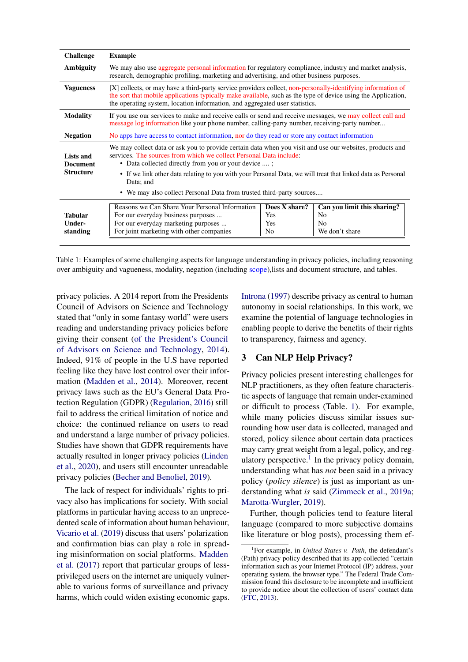<span id="page-2-0"></span>

| <b>Challenge</b>             | <b>Example</b>                                                                                                                                                                                                                                                                                               |                      |                                               |  |
|------------------------------|--------------------------------------------------------------------------------------------------------------------------------------------------------------------------------------------------------------------------------------------------------------------------------------------------------------|----------------------|-----------------------------------------------|--|
| Ambiguity                    | We may also use aggregate personal information for regulatory compliance, industry and market analysis,<br>research, demographic profiling, marketing and advertising, and other business purposes.                                                                                                          |                      |                                               |  |
| <b>Vagueness</b>             | [X] collects, or may have a third-party service providers collect, non-personally-identifying information of<br>the sort that mobile applications typically make available, such as the type of device using the Application,<br>the operating system, location information, and aggregated user statistics. |                      |                                               |  |
| <b>Modality</b>              | If you use our services to make and receive calls or send and receive messages, we may collect call and<br>message log information like your phone number, calling-party number, receiving-party number                                                                                                      |                      |                                               |  |
| <b>Negation</b>              | No apps have access to contact information, nor do they read or store any contact information                                                                                                                                                                                                                |                      |                                               |  |
| Lists and<br><b>Document</b> | We may collect data or ask you to provide certain data when you visit and use our websites, products and<br>services. The sources from which we collect Personal Data include:<br>• Data collected directly from you or your device ;                                                                        |                      |                                               |  |
| <b>Structure</b>             | • If we link other data relating to you with your Personal Data, we will treat that linked data as Personal<br>Data; and<br>• We may also collect Personal Data from trusted third-party sources                                                                                                             |                      |                                               |  |
|                              |                                                                                                                                                                                                                                                                                                              |                      |                                               |  |
| <b>Tabular</b>               | Reasons we Can Share Your Personal Information<br>For our everyday business purposes                                                                                                                                                                                                                         | Does X share?<br>Yes | Can you limit this sharing?<br>N <sub>0</sub> |  |
| Under-                       | For our everyday marketing purposes                                                                                                                                                                                                                                                                          | Yes                  | N <sub>0</sub>                                |  |
| standing                     | For joint marketing with other companies                                                                                                                                                                                                                                                                     | No                   | We don't share                                |  |

Table 1: Examples of some challenging aspects for language understanding in privacy policies, including reasoning over ambiguity and vagueness, modality, negation (including scope),lists and document structure, and tables.

privacy policies. A 2014 report from the Presidents Council of Advisors on Science and Technology stated that "only in some fantasy world" were users reading and understanding privacy policies before giving their consent [\(of the President's Council](#page-12-8) [of Advisors on Science and Technology,](#page-12-8) [2014\)](#page-12-8). Indeed, 91% of people in the U.S have reported feeling like they have lost control over their information [\(Madden et al.,](#page-11-1) [2014\)](#page-11-1). Moreover, recent privacy laws such as the EU's General Data Protection Regulation (GDPR) [\(Regulation,](#page-12-9) [2016\)](#page-12-9) still fail to address the critical limitation of notice and choice: the continued reliance on users to read and understand a large number of privacy policies. Studies have shown that GDPR requirements have actually resulted in longer privacy policies [\(Linden](#page-11-2) [et al.,](#page-11-2) [2020\)](#page-11-2), and users still encounter unreadable privacy policies [\(Becher and Benoliel,](#page-9-6) [2019\)](#page-9-6).

The lack of respect for individuals' rights to privacy also has implications for society. With social platforms in particular having access to an unprecedented scale of information about human behaviour, [Vicario et al.](#page-13-4) [\(2019\)](#page-13-4) discuss that users' polarization and confirmation bias can play a role in spreading misinformation on social platforms. [Madden](#page-11-3) [et al.](#page-11-3) [\(2017\)](#page-11-3) report that particular groups of lessprivileged users on the internet are uniquely vulnerable to various forms of surveillance and privacy harms, which could widen existing economic gaps.

[Introna](#page-10-4) [\(1997\)](#page-10-4) describe privacy as central to human autonomy in social relationships. In this work, we examine the potential of language technologies in enabling people to derive the benefits of their rights to transparency, fairness and agency.

## 3 Can NLP Help Privacy?

Privacy policies present interesting challenges for NLP practitioners, as they often feature characteristic aspects of language that remain under-examined or difficult to process (Table. [1\)](#page-2-0). For example, while many policies discuss similar issues surrounding how user data is collected, managed and stored, policy silence about certain data practices may carry great weight from a legal, policy, and reg-ulatory perspective.<sup>[1](#page-2-1)</sup> In the privacy policy domain, understanding what has *not* been said in a privacy policy (*policy silence*) is just as important as understanding what *is* said [\(Zimmeck et al.,](#page-13-5) [2019a;](#page-13-5) [Marotta-Wurgler,](#page-11-4) [2019\)](#page-11-4).

Further, though policies tend to feature literal language (compared to more subjective domains like literature or blog posts), processing them ef-

<span id="page-2-1"></span><sup>1</sup> For example, in *United States v. Path*, the defendant's (Path) privacy policy described that its app collected "certain information such as your Internet Protocol (IP) address, your operating system, the browser type." The Federal Trade Commission found this disclosure to be incomplete and insufficient to provide notice about the collection of users' contact data [\(FTC,](#page-10-5) [2013\)](#page-10-5).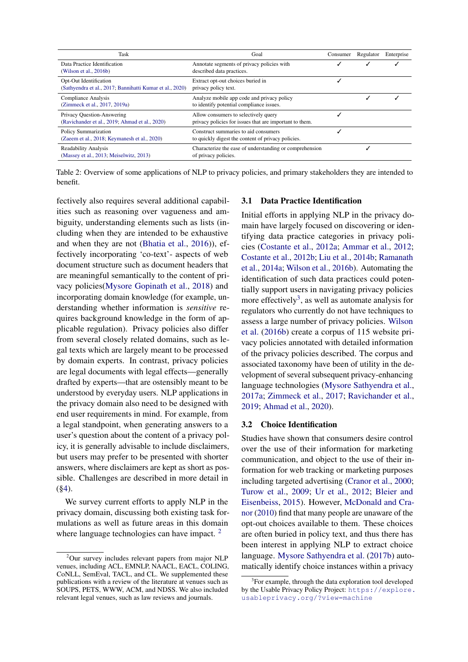| Task                                                                               | Goal                                                                                            | Consumer | Regulator | Enterprise |
|------------------------------------------------------------------------------------|-------------------------------------------------------------------------------------------------|----------|-----------|------------|
| Data Practice Identification<br>(Wilson et al., $2016b$ )                          | Annotate segments of privacy policies with<br>described data practices.                         |          |           |            |
| Opt-Out Identification<br>(Sathyendra et al., 2017; Bannihatti Kumar et al., 2020) | Extract opt-out choices buried in<br>privacy policy text.                                       |          |           |            |
| <b>Compliance Analysis</b><br>(Zimmeck et al., 2017, 2019a)                        | Analyze mobile app code and privacy policy<br>to identify potential compliance issues.          |          |           |            |
| Privacy Question-Answering<br>(Ravichander et al., 2019; Ahmad et al., 2020)       | Allow consumers to selectively query<br>privacy policies for issues that are important to them. |          |           |            |
| Policy Summarization<br>(Zaeem et al., 2018; Keymanesh et al., 2020)               | Construct summaries to aid consumers<br>to quickly digest the content of privacy policies.      |          |           |            |
| <b>Readability Analysis</b><br>(Massey et al., 2013; Meiselwitz, 2013)             | Characterize the ease of understanding or comprehension<br>of privacy policies.                 |          |           |            |

Table 2: Overview of some applications of NLP to privacy policies, and primary stakeholders they are intended to benefit.

fectively also requires several additional capabilities such as reasoning over vagueness and ambiguity, understanding elements such as lists (including when they are intended to be exhaustive and when they are not [\(Bhatia et al.,](#page-9-9) [2016\)](#page-9-9)), effectively incorporating 'co-text'- aspects of web document structure such as document headers that are meaningful semantically to the content of privacy policies[\(Mysore Gopinath et al.,](#page-11-7) [2018\)](#page-11-7) and incorporating domain knowledge (for example, understanding whether information is *sensitive* requires background knowledge in the form of applicable regulation). Privacy policies also differ from several closely related domains, such as legal texts which are largely meant to be processed by domain experts. In contrast, privacy policies are legal documents with legal effects—generally drafted by experts—that are ostensibly meant to be understood by everyday users. NLP applications in the privacy domain also need to be designed with end user requirements in mind. For example, from a legal standpoint, when generating answers to a user's question about the content of a privacy policy, it is generally advisable to include disclaimers, but users may prefer to be presented with shorter answers, where disclaimers are kept as short as possible. Challenges are described in more detail in  $(\$4)$ .

We survey current efforts to apply NLP in the privacy domain, discussing both existing task formulations as well as future areas in this domain where language technologies can have impact.  $2^{\circ}$  $2^{\circ}$ 

#### 3.1 Data Practice Identification

Initial efforts in applying NLP in the privacy domain have largely focused on discovering or identifying data practice categories in privacy policies [\(Costante et al.,](#page-9-10) [2012a;](#page-9-10) [Ammar et al.,](#page-9-11) [2012;](#page-9-11) [Costante et al.,](#page-9-12) [2012b;](#page-9-12) [Liu et al.,](#page-11-8) [2014b;](#page-11-8) [Ramanath](#page-12-12) [et al.,](#page-12-12) [2014a;](#page-12-12) [Wilson et al.,](#page-13-6) [2016b\)](#page-13-6). Automating the identification of such data practices could potentially support users in navigating privacy policies more effectively<sup>[3](#page-3-1)</sup>, as well as automate analysis for regulators who currently do not have techniques to assess a large number of privacy policies. [Wilson](#page-13-6) [et al.](#page-13-6) [\(2016b\)](#page-13-6) create a corpus of 115 website privacy policies annotated with detailed information of the privacy policies described. The corpus and associated taxonomy have been of utility in the development of several subsequent privacy-enhancing language technologies [\(Mysore Sathyendra et al.,](#page-11-9) [2017a;](#page-11-9) [Zimmeck et al.,](#page-14-0) [2017;](#page-14-0) [Ravichander et al.,](#page-12-11) [2019;](#page-12-11) [Ahmad et al.,](#page-9-8) [2020\)](#page-9-8).

#### 3.2 Choice Identification

Studies have shown that consumers desire control over the use of their information for marketing communication, and object to the use of their information for web tracking or marketing purposes including targeted advertising [\(Cranor et al.,](#page-9-13) [2000;](#page-9-13) [Turow et al.,](#page-13-8) [2009;](#page-13-8) [Ur et al.,](#page-13-9) [2012;](#page-13-9) [Bleier and](#page-9-14) [Eisenbeiss,](#page-9-14) [2015\)](#page-9-14). However, [McDonald and Cra](#page-11-10)[nor](#page-11-10) [\(2010\)](#page-11-10) find that many people are unaware of the opt-out choices available to them. These choices are often buried in policy text, and thus there has been interest in applying NLP to extract choice language. [Mysore Sathyendra et al.](#page-11-11) [\(2017b\)](#page-11-11) automatically identify choice instances within a privacy

<span id="page-3-0"></span><sup>&</sup>lt;sup>2</sup>Our survey includes relevant papers from major NLP venues, including ACL, EMNLP, NAACL, EACL, COLING, CoNLL, SemEval, TACL, and CL. We supplemented these publications with a review of the literature at venues such as SOUPS, PETS, WWW, ACM, and NDSS. We also included relevant legal venues, such as law reviews and journals.

<span id="page-3-1"></span><sup>&</sup>lt;sup>3</sup>For example, through the data exploration tool developed by the Usable Privacy Policy Project: [https://explore.](https://explore.usableprivacy.org/?view=machine) [usableprivacy.org/?view=machine](https://explore.usableprivacy.org/?view=machine)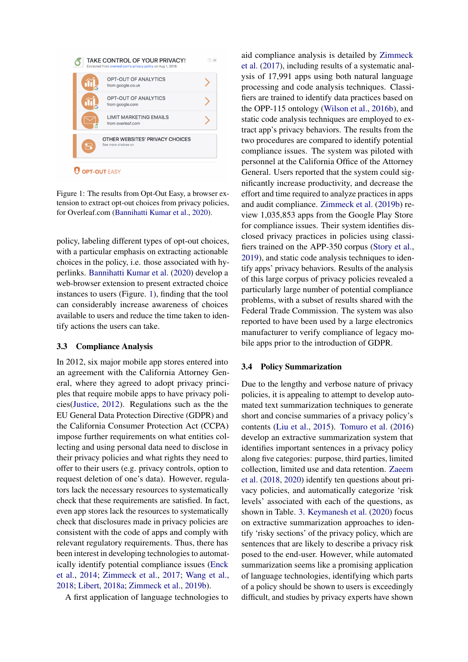<span id="page-4-0"></span>

Figure 1: The results from Opt-Out Easy, a browser extension to extract opt-out choices from privacy policies, for Overleaf.com [\(Bannihatti Kumar et al.,](#page-9-7) [2020\)](#page-9-7).

policy, labeling different types of opt-out choices, with a particular emphasis on extracting actionable choices in the policy, i.e. those associated with hyperlinks. [Bannihatti Kumar et al.](#page-9-7) [\(2020\)](#page-9-7) develop a web-browser extension to present extracted choice instances to users (Figure. [1\)](#page-4-0), finding that the tool can considerably increase awareness of choices available to users and reduce the time taken to identify actions the users can take.

#### 3.3 Compliance Analysis

In 2012, six major mobile app stores entered into an agreement with the California Attorney General, where they agreed to adopt privacy principles that require mobile apps to have privacy policies[\(Justice,](#page-10-7) [2012\)](#page-10-7). Regulations such as the the EU General Data Protection Directive (GDPR) and the California Consumer Protection Act (CCPA) impose further requirements on what entities collecting and using personal data need to disclose in their privacy policies and what rights they need to offer to their users (e.g. privacy controls, option to request deletion of one's data). However, regulators lack the necessary resources to systematically check that these requirements are satisfied. In fact, even app stores lack the resources to systematically check that disclosures made in privacy policies are consistent with the code of apps and comply with relevant regulatory requirements. Thus, there has been interest in developing technologies to automatically identify potential compliance issues [\(Enck](#page-9-15) [et al.,](#page-9-15) [2014;](#page-9-15) [Zimmeck et al.,](#page-14-0) [2017;](#page-14-0) [Wang et al.,](#page-13-10) [2018;](#page-13-10) [Libert,](#page-10-8) [2018a;](#page-10-8) [Zimmeck et al.,](#page-13-11) [2019b\)](#page-13-11).

A first application of language technologies to

aid compliance analysis is detailed by [Zimmeck](#page-14-0) [et al.](#page-14-0) [\(2017\)](#page-14-0), including results of a systematic analysis of 17,991 apps using both natural language processing and code analysis techniques. Classifiers are trained to identify data practices based on the OPP-115 ontology [\(Wilson et al.,](#page-13-6) [2016b\)](#page-13-6), and static code analysis techniques are employed to extract app's privacy behaviors. The results from the two procedures are compared to identify potential compliance issues. The system was piloted with personnel at the California Office of the Attorney General. Users reported that the system could significantly increase productivity, and decrease the effort and time required to analyze practices in apps and audit compliance. [Zimmeck et al.](#page-13-11) [\(2019b\)](#page-13-11) review 1,035,853 apps from the Google Play Store for compliance issues. Their system identifies disclosed privacy practices in policies using classifiers trained on the APP-350 corpus [\(Story et al.,](#page-13-12) [2019\)](#page-13-12), and static code analysis techniques to identify apps' privacy behaviors. Results of the analysis of this large corpus of privacy policies revealed a particularly large number of potential compliance problems, with a subset of results shared with the Federal Trade Commission. The system was also reported to have been used by a large electronics manufacturer to verify compliance of legacy mobile apps prior to the introduction of GDPR.

#### 3.4 Policy Summarization

Due to the lengthy and verbose nature of privacy policies, it is appealing to attempt to develop automated text summarization techniques to generate short and concise summaries of a privacy policy's contents [\(Liu et al.,](#page-11-12) [2015\)](#page-11-12). [Tomuro et al.](#page-13-13) [\(2016\)](#page-13-13) develop an extractive summarization system that identifies important sentences in a privacy policy along five categories: purpose, third parties, limited collection, limited use and data retention. [Zaeem](#page-13-7) [et al.](#page-13-7) [\(2018,](#page-13-7) [2020\)](#page-13-14) identify ten questions about privacy policies, and automatically categorize 'risk levels' associated with each of the questions, as shown in Table. [3.](#page-5-0) [Keymanesh et al.](#page-10-6) [\(2020\)](#page-10-6) focus on extractive summarization approaches to identify 'risky sections' of the privacy policy, which are sentences that are likely to describe a privacy risk posed to the end-user. However, while automated summarization seems like a promising application of language technologies, identifying which parts of a policy should be shown to users is exceedingly difficult, and studies by privacy experts have shown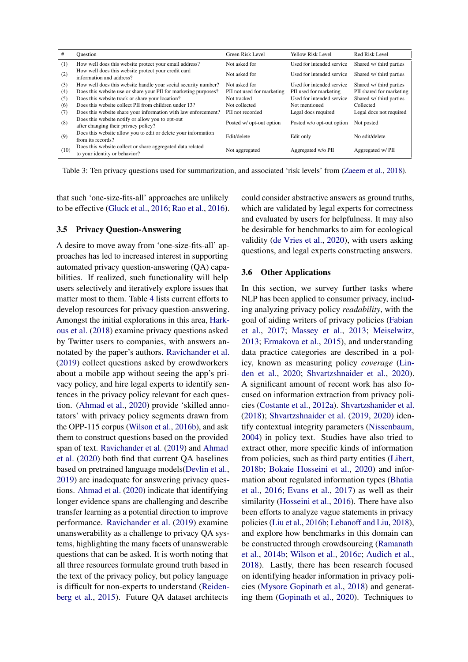<span id="page-5-0"></span>

| #    | Ouestion                                                                                    | Green Risk Level           | <b>Yellow Risk Level</b>  | Red Risk Level           |
|------|---------------------------------------------------------------------------------------------|----------------------------|---------------------------|--------------------------|
| (1)  | How well does this website protect your email address?                                      | Not asked for              | Used for intended service | Shared w/ third parties  |
| (2)  | How well does this website protect your credit card<br>information and address?             | Not asked for              | Used for intended service | Shared w/ third parties  |
| (3)  | How well does this website handle your social security number?                              | Not asked for              | Used for intended service | Shared w/ third parties  |
| (4)  | Does this website use or share your PII for marketing purposes?                             | PII not used for marketing | PII used for marketing    | PII shared for marketing |
| (5)  | Does this website track or share your location?                                             | Not tracked                | Used for intended service | Shared w/ third parties  |
| (6)  | Does this website collect PII from children under 13?                                       | Not collected              | Not mentioned             | Collected                |
| (7)  | Does this website share your information with law enforcement?                              | PII not recorded           | Legal docs required       | Legal docs not required  |
| (8)  | Does this website notify or allow you to opt-out<br>after changing their privacy policy?    | Posted w/ opt-out option   | Posted w/o opt-out option | Not posted               |
| (9)  | Does this website allow you to edit or delete your information<br>from its records?         | Edit/delete                | Edit only                 | No edit/delete           |
| (10) | Does this website collect or share aggregated data related<br>to your identity or behavior? | Not aggregated             | Aggregated w/o PII        | Aggregated w/PII         |

Table 3: Ten privacy questions used for summarization, and associated 'risk levels' from [\(Zaeem et al.,](#page-13-7) [2018\)](#page-13-7).

that such 'one-size-fits-all' approaches are unlikely to be effective [\(Gluck et al.,](#page-10-9) [2016;](#page-10-9) [Rao et al.,](#page-12-13) [2016\)](#page-12-13).

#### 3.5 Privacy Question-Answering

A desire to move away from 'one-size-fits-all' approaches has led to increased interest in supporting automated privacy question-answering (QA) capabilities. If realized, such functionality will help users selectively and iteratively explore issues that matter most to them. Table [4](#page-6-0) lists current efforts to develop resources for privacy question-answering. Amongst the initial explorations in this area, [Hark](#page-10-10)[ous et al.](#page-10-10) [\(2018\)](#page-10-10) examine privacy questions asked by Twitter users to companies, with answers annotated by the paper's authors. [Ravichander et al.](#page-12-11) [\(2019\)](#page-12-11) collect questions asked by crowdworkers about a mobile app without seeing the app's privacy policy, and hire legal experts to identify sentences in the privacy policy relevant for each question. [\(Ahmad et al.,](#page-9-8) [2020\)](#page-9-8) provide 'skilled annotators' with privacy policy segments drawn from the OPP-115 corpus [\(Wilson et al.,](#page-13-6) [2016b\)](#page-13-6), and ask them to construct questions based on the provided span of text. [Ravichander et al.](#page-12-11) [\(2019\)](#page-12-11) and [Ahmad](#page-9-8) [et al.](#page-9-8) [\(2020\)](#page-9-8) both find that current QA baselines based on pretrained language models[\(Devlin et al.,](#page-9-16) [2019\)](#page-9-16) are inadequate for answering privacy questions. [Ahmad et al.](#page-9-8) [\(2020\)](#page-9-8) indicate that identifying longer evidence spans are challenging and describe transfer learning as a potential direction to improve performance. [Ravichander et al.](#page-12-11) [\(2019\)](#page-12-11) examine unanswerability as a challenge to privacy QA systems, highlighting the many facets of unanswerable questions that can be asked. It is worth noting that all three resources formulate ground truth based in the text of the privacy policy, but policy language is difficult for non-experts to understand [\(Reiden](#page-12-0)[berg et al.,](#page-12-0) [2015\)](#page-12-0). Future QA dataset architects

could consider abstractive answers as ground truths, which are validated by legal experts for correctness and evaluated by users for helpfulness. It may also be desirable for benchmarks to aim for ecological validity [\(de Vries et al.,](#page-13-15) [2020\)](#page-13-15), with users asking questions, and legal experts constructing answers.

#### 3.6 Other Applications

In this section, we survey further tasks where NLP has been applied to consumer privacy, including analyzing privacy policy *readability*, with the goal of aiding writers of privacy policies [\(Fabian](#page-10-11) [et al.,](#page-10-11) [2017;](#page-10-11) [Massey et al.,](#page-11-5) [2013;](#page-11-5) [Meiselwitz,](#page-11-6) [2013;](#page-11-6) [Ermakova et al.,](#page-10-12) [2015\)](#page-10-12), and understanding data practice categories are described in a policy, known as measuring policy *coverage* [\(Lin](#page-11-2)[den et al.,](#page-11-2) [2020;](#page-11-2) [Shvartzshnaider et al.,](#page-13-16) [2020\)](#page-13-16). A significant amount of recent work has also focused on information extraction from privacy policies [\(Costante et al.,](#page-9-10) [2012a\)](#page-9-10). [Shvartzshanider et al.](#page-12-14) [\(2018\)](#page-12-14); [Shvartzshnaider et al.](#page-13-17) [\(2019,](#page-13-17) [2020\)](#page-13-16) identify contextual integrity parameters [\(Nissenbaum,](#page-12-15) [2004\)](#page-12-15) in policy text. Studies have also tried to extract other, more specific kinds of information from policies, such as third party entities [\(Libert,](#page-11-13) [2018b;](#page-11-13) [Bokaie Hosseini et al.,](#page-9-17) [2020\)](#page-9-17) and information about regulated information types [\(Bhatia](#page-9-9) [et al.,](#page-9-9) [2016;](#page-9-9) [Evans et al.,](#page-10-13) [2017\)](#page-10-13) as well as their similarity [\(Hosseini et al.,](#page-10-14) [2016\)](#page-10-14). There have also been efforts to analyze vague statements in privacy policies [\(Liu et al.,](#page-11-14) [2016b;](#page-11-14) [Lebanoff and Liu,](#page-10-15) [2018\)](#page-10-15), and explore how benchmarks in this domain can be constructed through crowdsourcing [\(Ramanath](#page-12-16) [et al.,](#page-12-16) [2014b;](#page-12-16) [Wilson et al.,](#page-13-18) [2016c;](#page-13-18) [Audich et al.,](#page-9-18) [2018\)](#page-9-18). Lastly, there has been research focused on identifying header information in privacy policies [\(Mysore Gopinath et al.,](#page-11-7) [2018\)](#page-11-7) and generating them [\(Gopinath et al.,](#page-10-16) [2020\)](#page-10-16). Techniques to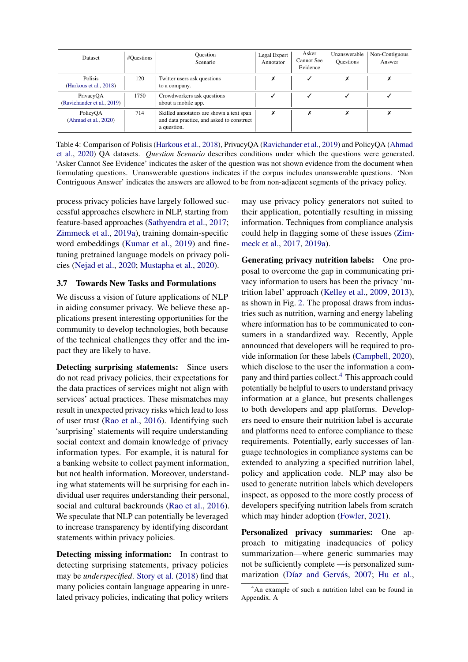<span id="page-6-0"></span>

| Dataset                                  | #Questions | <b>Ouestion</b><br>Scenario                                                                          | Legal Expert<br>Annotator | Asker<br>Cannot See<br>Evidence | Unanswerable<br><b>Questions</b> | Non-Contiguous<br>Answer |
|------------------------------------------|------------|------------------------------------------------------------------------------------------------------|---------------------------|---------------------------------|----------------------------------|--------------------------|
| <b>Polisis</b><br>(Harkous et al., 2018) | 120        | Twitter users ask questions<br>to a company.                                                         |                           |                                 |                                  |                          |
| PrivacyQA<br>(Ravichander et al., 2019)  | 1750       | Crowdworkers ask questions<br>about a mobile app.                                                    |                           |                                 |                                  |                          |
| PolicyOA<br>(Ahmad et al., 2020)         | 714        | Skilled annotators are shown a text span<br>and data practice, and asked to construct<br>a question. | Х                         | x                               |                                  |                          |

Table 4: Comparison of Polisis [\(Harkous et al.,](#page-10-10) [2018\)](#page-10-10), PrivacyQA [\(Ravichander et al.,](#page-12-11) [2019\)](#page-12-11) and PolicyQA [\(Ahmad](#page-9-8) [et al.,](#page-9-8) [2020\)](#page-9-8) QA datasets. *Question Scenario* describes conditions under which the questions were generated. 'Asker Cannot See Evidence' indicates the asker of the question was not shown evidence from the document when formulating questions. Unanswerable questions indicates if the corpus includes unanswerable questions. 'Non Contriguous Answer' indicates the answers are allowed to be from non-adjacent segments of the privacy policy.

process privacy policies have largely followed successful approaches elsewhere in NLP, starting from feature-based approaches [\(Sathyendra et al.,](#page-12-10) [2017;](#page-12-10) [Zimmeck et al.,](#page-13-5) [2019a\)](#page-13-5), training domain-specific word embeddings [\(Kumar et al.,](#page-10-17) [2019\)](#page-10-17) and finetuning pretrained language models on privacy policies [\(Nejad et al.,](#page-12-17) [2020;](#page-12-17) [Mustapha et al.,](#page-11-15) [2020\)](#page-11-15).

#### 3.7 Towards New Tasks and Formulations

We discuss a vision of future applications of NLP in aiding consumer privacy. We believe these applications present interesting opportunities for the community to develop technologies, both because of the technical challenges they offer and the impact they are likely to have.

Detecting surprising statements: Since users do not read privacy policies, their expectations for the data practices of services might not align with services' actual practices. These mismatches may result in unexpected privacy risks which lead to loss of user trust [\(Rao et al.,](#page-12-13) [2016\)](#page-12-13). Identifying such 'surprising' statements will require understanding social context and domain knowledge of privacy information types. For example, it is natural for a banking website to collect payment information, but not health information. Moreover, understanding what statements will be surprising for each individual user requires understanding their personal, social and cultural backrounds [\(Rao et al.,](#page-12-13) [2016\)](#page-12-13). We speculate that NLP can potentially be leveraged to increase transparency by identifying discordant statements within privacy policies.

Detecting missing information: In contrast to detecting surprising statements, privacy policies may be *underspecified*. [Story et al.](#page-13-19) [\(2018\)](#page-13-19) find that many policies contain language appearing in unrelated privacy policies, indicating that policy writers

may use privacy policy generators not suited to their application, potentially resulting in missing information. Techniques from compliance analysis could help in flagging some of these issues [\(Zim](#page-14-0)[meck et al.,](#page-14-0) [2017,](#page-14-0) [2019a\)](#page-13-5).

Generating privacy nutrition labels: One proposal to overcome the gap in communicating privacy information to users has been the privacy 'nutrition label' approach [\(Kelley et al.,](#page-10-18) [2009,](#page-10-18) [2013\)](#page-10-19), as shown in Fig. [2.](#page-15-0) The proposal draws from industries such as nutrition, warning and energy labeling where information has to be communicated to consumers in a standardized way. Recently, Apple announced that developers will be required to provide information for these labels [\(Campbell,](#page-9-19) [2020\)](#page-9-19), which disclose to the user the information a company and third parties collect.[4](#page-6-1) This approach could potentially be helpful to users to understand privacy information at a glance, but presents challenges to both developers and app platforms. Developers need to ensure their nutrition label is accurate and platforms need to enforce compliance to these requirements. Potentially, early successes of language technologies in compliance systems can be extended to analyzing a specified nutrition label, policy and application code. NLP may also be used to generate nutrition labels which developers inspect, as opposed to the more costly process of developers specifying nutrition labels from scratch which may hinder adoption [\(Fowler,](#page-10-20) [2021\)](#page-10-20).

Personalized privacy summaries: One approach to mitigating inadequacies of policy summarization—where generic summaries may not be sufficiently complete —is personalized sum-marization (Díaz and Gervás, [2007;](#page-9-20) [Hu et al.,](#page-10-21)

<span id="page-6-1"></span><sup>4</sup>An example of such a nutrition label can be found in Appendix. A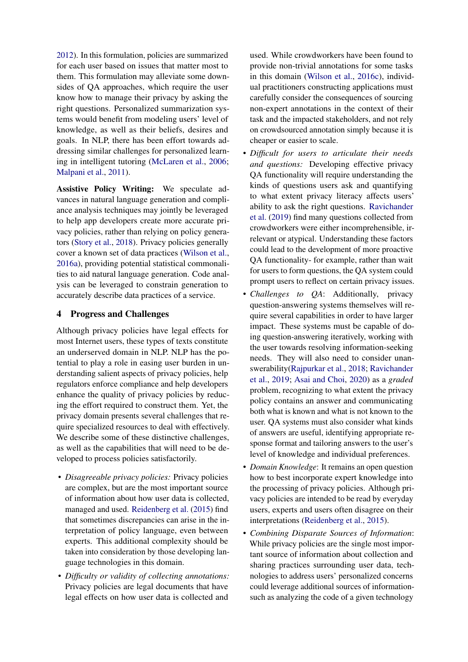[2012\)](#page-10-21). In this formulation, policies are summarized for each user based on issues that matter most to them. This formulation may alleviate some downsides of QA approaches, which require the user know how to manage their privacy by asking the right questions. Personalized summarization systems would benefit from modeling users' level of knowledge, as well as their beliefs, desires and goals. In NLP, there has been effort towards addressing similar challenges for personalized learning in intelligent tutoring [\(McLaren et al.,](#page-11-16) [2006;](#page-11-16) [Malpani et al.,](#page-11-17) [2011\)](#page-11-17).

Assistive Policy Writing: We speculate advances in natural language generation and compliance analysis techniques may jointly be leveraged to help app developers create more accurate privacy policies, rather than relying on policy generators [\(Story et al.,](#page-13-19) [2018\)](#page-13-19). Privacy policies generally cover a known set of data practices [\(Wilson et al.,](#page-13-20) [2016a\)](#page-13-20), providing potential statistical commonalities to aid natural language generation. Code analysis can be leveraged to constrain generation to accurately describe data practices of a service.

## <span id="page-7-0"></span>4 Progress and Challenges

Although privacy policies have legal effects for most Internet users, these types of texts constitute an underserved domain in NLP. NLP has the potential to play a role in easing user burden in understanding salient aspects of privacy policies, help regulators enforce compliance and help developers enhance the quality of privacy policies by reducing the effort required to construct them. Yet, the privacy domain presents several challenges that require specialized resources to deal with effectively. We describe some of these distinctive challenges, as well as the capabilities that will need to be developed to process policies satisfactorily.

- *Disagreeable privacy policies:* Privacy policies are complex, but are the most important source of information about how user data is collected, managed and used. [Reidenberg et al.](#page-12-0) [\(2015\)](#page-12-0) find that sometimes discrepancies can arise in the interpretation of policy language, even between experts. This additional complexity should be taken into consideration by those developing language technologies in this domain.
- *Difficulty or validity of collecting annotations:* Privacy policies are legal documents that have legal effects on how user data is collected and

used. While crowdworkers have been found to provide non-trivial annotations for some tasks in this domain [\(Wilson et al.,](#page-13-18) [2016c\)](#page-13-18), individual practitioners constructing applications must carefully consider the consequences of sourcing non-expert annotations in the context of their task and the impacted stakeholders, and not rely on crowdsourced annotation simply because it is cheaper or easier to scale.

- *Difficult for users to articulate their needs and questions:* Developing effective privacy QA functionality will require understanding the kinds of questions users ask and quantifying to what extent privacy literacy affects users' ability to ask the right questions. [Ravichander](#page-12-11) [et al.](#page-12-11) [\(2019\)](#page-12-11) find many questions collected from crowdworkers were either incomprehensible, irrelevant or atypical. Understanding these factors could lead to the development of more proactive QA functionality- for example, rather than wait for users to form questions, the QA system could prompt users to reflect on certain privacy issues.
- *Challenges to QA*: Additionally, privacy question-answering systems themselves will require several capabilities in order to have larger impact. These systems must be capable of doing question-answering iteratively, working with the user towards resolving information-seeking needs. They will also need to consider unanswerability[\(Rajpurkar et al.,](#page-12-18) [2018;](#page-12-18) [Ravichander](#page-12-11) [et al.,](#page-12-11) [2019;](#page-12-11) [Asai and Choi,](#page-9-21) [2020\)](#page-9-21) as a *graded* problem, recognizing to what extent the privacy policy contains an answer and communicating both what is known and what is not known to the user. QA systems must also consider what kinds of answers are useful, identifying appropriate response format and tailoring answers to the user's level of knowledge and individual preferences.
- *Domain Knowledge*: It remains an open question how to best incorporate expert knowledge into the processing of privacy policies. Although privacy policies are intended to be read by everyday users, experts and users often disagree on their interpretations [\(Reidenberg et al.,](#page-12-0) [2015\)](#page-12-0).
- *Combining Disparate Sources of Information*: While privacy policies are the single most important source of information about collection and sharing practices surrounding user data, technologies to address users' personalized concerns could leverage additional sources of informationsuch as analyzing the code of a given technology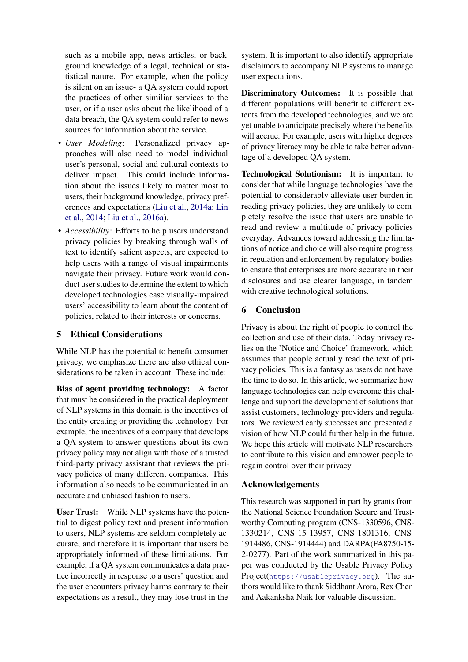such as a mobile app, news articles, or background knowledge of a legal, technical or statistical nature. For example, when the policy is silent on an issue- a QA system could report the practices of other similiar services to the user, or if a user asks about the likelihood of a data breach, the QA system could refer to news sources for information about the service.

- *User Modeling*: Personalized privacy approaches will also need to model individual user's personal, social and cultural contexts to deliver impact. This could include information about the issues likely to matter most to users, their background knowledge, privacy preferences and expectations [\(Liu et al.,](#page-11-18) [2014a;](#page-11-18) [Lin](#page-11-19) [et al.,](#page-11-19) [2014;](#page-11-19) [Liu et al.,](#page-11-20) [2016a\)](#page-11-20).
- *Accessibility:* Efforts to help users understand privacy policies by breaking through walls of text to identify salient aspects, are expected to help users with a range of visual impairments navigate their privacy. Future work would conduct user studies to determine the extent to which developed technologies ease visually-impaired users' accessibility to learn about the content of policies, related to their interests or concerns.

## 5 Ethical Considerations

While NLP has the potential to benefit consumer privacy, we emphasize there are also ethical considerations to be taken in account. These include:

Bias of agent providing technology: A factor that must be considered in the practical deployment of NLP systems in this domain is the incentives of the entity creating or providing the technology. For example, the incentives of a company that develops a QA system to answer questions about its own privacy policy may not align with those of a trusted third-party privacy assistant that reviews the privacy policies of many different companies. This information also needs to be communicated in an accurate and unbiased fashion to users.

User Trust: While NLP systems have the potential to digest policy text and present information to users, NLP systems are seldom completely accurate, and therefore it is important that users be appropriately informed of these limitations. For example, if a QA system communicates a data practice incorrectly in response to a users' question and the user encounters privacy harms contrary to their expectations as a result, they may lose trust in the

system. It is important to also identify appropriate disclaimers to accompany NLP systems to manage user expectations.

Discriminatory Outcomes: It is possible that different populations will benefit to different extents from the developed technologies, and we are yet unable to anticipate precisely where the benefits will accrue. For example, users with higher degrees of privacy literacy may be able to take better advantage of a developed QA system.

Technological Solutionism: It is important to consider that while language technologies have the potential to considerably alleviate user burden in reading privacy policies, they are unlikely to completely resolve the issue that users are unable to read and review a multitude of privacy policies everyday. Advances toward addressing the limitations of notice and choice will also require progress in regulation and enforcement by regulatory bodies to ensure that enterprises are more accurate in their disclosures and use clearer language, in tandem with creative technological solutions.

## 6 Conclusion

Privacy is about the right of people to control the collection and use of their data. Today privacy relies on the 'Notice and Choice' framework, which assumes that people actually read the text of privacy policies. This is a fantasy as users do not have the time to do so. In this article, we summarize how language technologies can help overcome this challenge and support the development of solutions that assist customers, technology providers and regulators. We reviewed early successes and presented a vision of how NLP could further help in the future. We hope this article will motivate NLP researchers to contribute to this vision and empower people to regain control over their privacy.

## Acknowledgements

This research was supported in part by grants from the National Science Foundation Secure and Trustworthy Computing program (CNS-1330596, CNS-1330214, CNS-15-13957, CNS-1801316, CNS-1914486, CNS-1914444) and DARPA(FA8750-15- 2-0277). Part of the work summarized in this paper was conducted by the Usable Privacy Policy Project(<https://usableprivacy.org>). The authors would like to thank Siddhant Arora, Rex Chen and Aakanksha Naik for valuable discussion.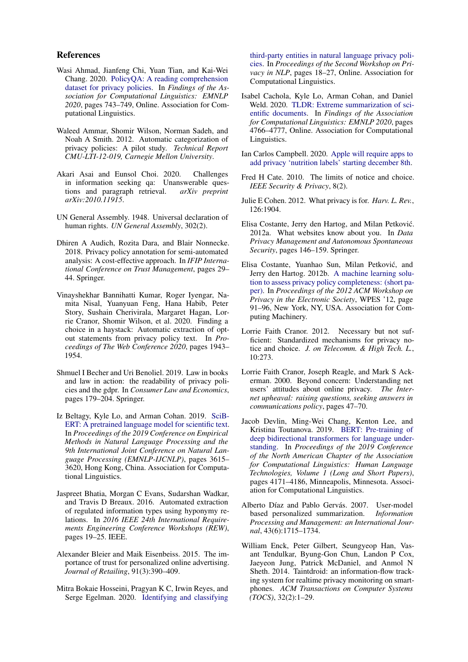#### References

- <span id="page-9-8"></span>Wasi Ahmad, Jianfeng Chi, Yuan Tian, and Kai-Wei Chang. 2020. [PolicyQA: A reading comprehension](https://doi.org/10.18653/v1/2020.findings-emnlp.66) [dataset for privacy policies.](https://doi.org/10.18653/v1/2020.findings-emnlp.66) In *Findings of the Association for Computational Linguistics: EMNLP 2020*, pages 743–749, Online. Association for Computational Linguistics.
- <span id="page-9-11"></span>Waleed Ammar, Shomir Wilson, Norman Sadeh, and Noah A Smith. 2012. Automatic categorization of privacy policies: A pilot study. *Technical Report CMU-LTI-12-019, Carnegie Mellon University*.
- <span id="page-9-21"></span>Akari Asai and Eunsol Choi. 2020. Challenges in information seeking qa: Unanswerable questions and paragraph retrieval. *arXiv preprint arXiv:2010.11915*.
- <span id="page-9-0"></span>UN General Assembly. 1948. Universal declaration of human rights. *UN General Assembly*, 302(2).
- <span id="page-9-18"></span>Dhiren A Audich, Rozita Dara, and Blair Nonnecke. 2018. Privacy policy annotation for semi-automated analysis: A cost-effective approach. In *IFIP International Conference on Trust Management*, pages 29– 44. Springer.
- <span id="page-9-7"></span>Vinayshekhar Bannihatti Kumar, Roger Iyengar, Namita Nisal, Yuanyuan Feng, Hana Habib, Peter Story, Sushain Cherivirala, Margaret Hagan, Lorrie Cranor, Shomir Wilson, et al. 2020. Finding a choice in a haystack: Automatic extraction of optout statements from privacy policy text. In *Proceedings of The Web Conference 2020*, pages 1943– 1954.
- <span id="page-9-6"></span>Shmuel I Becher and Uri Benoliel. 2019. Law in books and law in action: the readability of privacy policies and the gdpr. In *Consumer Law and Economics*, pages 179–204. Springer.
- <span id="page-9-4"></span>Iz Beltagy, Kyle Lo, and Arman Cohan. 2019. [SciB-](https://doi.org/10.18653/v1/D19-1371)[ERT: A pretrained language model for scientific text.](https://doi.org/10.18653/v1/D19-1371) In *Proceedings of the 2019 Conference on Empirical Methods in Natural Language Processing and the 9th International Joint Conference on Natural Language Processing (EMNLP-IJCNLP)*, pages 3615– 3620, Hong Kong, China. Association for Computational Linguistics.
- <span id="page-9-9"></span>Jaspreet Bhatia, Morgan C Evans, Sudarshan Wadkar, and Travis D Breaux. 2016. Automated extraction of regulated information types using hyponymy relations. In *2016 IEEE 24th International Requirements Engineering Conference Workshops (REW)*, pages 19–25. IEEE.
- <span id="page-9-14"></span>Alexander Bleier and Maik Eisenbeiss. 2015. The importance of trust for personalized online advertising. *Journal of Retailing*, 91(3):390–409.
- <span id="page-9-17"></span>Mitra Bokaie Hosseini, Pragyan K C, Irwin Reyes, and Serge Egelman. 2020. [Identifying and classifying](https://doi.org/10.18653/v1/2020.privatenlp-1.3)

[third-party entities in natural language privacy poli](https://doi.org/10.18653/v1/2020.privatenlp-1.3)[cies.](https://doi.org/10.18653/v1/2020.privatenlp-1.3) In *Proceedings of the Second Workshop on Privacy in NLP*, pages 18–27, Online. Association for Computational Linguistics.

- <span id="page-9-3"></span>Isabel Cachola, Kyle Lo, Arman Cohan, and Daniel Weld. 2020. [TLDR: Extreme summarization of sci](https://doi.org/10.18653/v1/2020.findings-emnlp.428)[entific documents.](https://doi.org/10.18653/v1/2020.findings-emnlp.428) In *Findings of the Association for Computational Linguistics: EMNLP 2020*, pages 4766–4777, Online. Association for Computational Linguistics.
- <span id="page-9-19"></span>Ian Carlos Campbell. 2020. [Apple will require apps to](https://www.theverge.com/2020/11/5/21551926/apple-privacy-developers-nutrition-labels-app-store-ios-14) [add privacy 'nutrition labels' starting december 8th.](https://www.theverge.com/2020/11/5/21551926/apple-privacy-developers-nutrition-labels-app-store-ios-14)
- <span id="page-9-1"></span>Fred H Cate. 2010. The limits of notice and choice. *IEEE Security & Privacy*, 8(2).
- <span id="page-9-5"></span>Julie E Cohen. 2012. What privacy is for. *Harv. L. Rev.*, 126:1904.
- <span id="page-9-10"></span>Elisa Costante, Jerry den Hartog, and Milan Petkovic.´ 2012a. What websites know about you. In *Data Privacy Management and Autonomous Spontaneous Security*, pages 146–159. Springer.
- <span id="page-9-12"></span>Elisa Costante, Yuanhao Sun, Milan Petkovic, and ´ Jerry den Hartog. 2012b. [A machine learning solu](https://doi.org/10.1145/2381966.2381979)[tion to assess privacy policy completeness: \(short pa](https://doi.org/10.1145/2381966.2381979)[per\).](https://doi.org/10.1145/2381966.2381979) In *Proceedings of the 2012 ACM Workshop on Privacy in the Electronic Society*, WPES '12, page 91–96, New York, NY, USA. Association for Computing Machinery.
- <span id="page-9-2"></span>Lorrie Faith Cranor. 2012. Necessary but not sufficient: Standardized mechanisms for privacy notice and choice. *J. on Telecomm. & High Tech. L.*, 10:273.
- <span id="page-9-13"></span>Lorrie Faith Cranor, Joseph Reagle, and Mark S Ackerman. 2000. Beyond concern: Understanding net users' attitudes about online privacy. *The Internet upheaval: raising questions, seeking answers in communications policy*, pages 47–70.
- <span id="page-9-16"></span>Jacob Devlin, Ming-Wei Chang, Kenton Lee, and Kristina Toutanova. 2019. [BERT: Pre-training of](https://doi.org/10.18653/v1/N19-1423) [deep bidirectional transformers for language under](https://doi.org/10.18653/v1/N19-1423)[standing.](https://doi.org/10.18653/v1/N19-1423) In *Proceedings of the 2019 Conference of the North American Chapter of the Association for Computational Linguistics: Human Language Technologies, Volume 1 (Long and Short Papers)*, pages 4171–4186, Minneapolis, Minnesota. Association for Computational Linguistics.
- <span id="page-9-20"></span>Alberto Díaz and Pablo Gervás. 2007. User-model based personalized summarization. *Information Processing and Management: an International Journal*, 43(6):1715–1734.
- <span id="page-9-15"></span>William Enck, Peter Gilbert, Seungyeop Han, Vasant Tendulkar, Byung-Gon Chun, Landon P Cox, Jaeyeon Jung, Patrick McDaniel, and Anmol N Sheth. 2014. Taintdroid: an information-flow tracking system for realtime privacy monitoring on smartphones. *ACM Transactions on Computer Systems (TOCS)*, 32(2):1–29.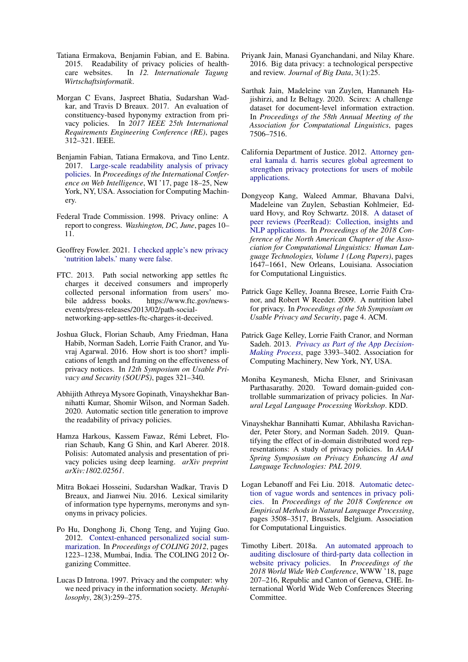- <span id="page-10-12"></span>Tatiana Ermakova, Benjamin Fabian, and E. Babina. 2015. Readability of privacy policies of healthcare websites. In *12. Internationale Tagung Wirtschaftsinformatik*.
- <span id="page-10-13"></span>Morgan C Evans, Jaspreet Bhatia, Sudarshan Wadkar, and Travis D Breaux. 2017. An evaluation of constituency-based hyponymy extraction from privacy policies. In *2017 IEEE 25th International Requirements Engineering Conference (RE)*, pages 312–321. IEEE.
- <span id="page-10-11"></span>Benjamin Fabian, Tatiana Ermakova, and Tino Lentz. 2017. [Large-scale readability analysis of privacy](https://doi.org/10.1145/3106426.3106427) [policies.](https://doi.org/10.1145/3106426.3106427) In *Proceedings of the International Conference on Web Intelligence*, WI '17, page 18–25, New York, NY, USA. Association for Computing Machinery.
- <span id="page-10-0"></span>Federal Trade Commission. 1998. Privacy online: A report to congress. *Washington, DC, June*, pages 10– 11.
- <span id="page-10-20"></span>Geoffrey Fowler. 2021. [I checked apple's new privacy](https://www.washingtonpost.com/technology/2021/01/29/apple-privacy-nutrition-label/) ['nutrition labels.' many were false.](https://www.washingtonpost.com/technology/2021/01/29/apple-privacy-nutrition-label/)
- <span id="page-10-5"></span>FTC. 2013. Path social networking app settles ftc charges it deceived consumers and improperly collected personal information from users' mobile address books. https://www.ftc.gov/newsevents/press-releases/2013/02/path-socialnetworking-app-settles-ftc-charges-it-deceived.
- <span id="page-10-9"></span>Joshua Gluck, Florian Schaub, Amy Friedman, Hana Habib, Norman Sadeh, Lorrie Faith Cranor, and Yuvraj Agarwal. 2016. How short is too short? implications of length and framing on the effectiveness of privacy notices. In *12th Symposium on Usable Privacy and Security (SOUPS)*, pages 321–340.
- <span id="page-10-16"></span>Abhijith Athreya Mysore Gopinath, Vinayshekhar Bannihatti Kumar, Shomir Wilson, and Norman Sadeh. 2020. Automatic section title generation to improve the readability of privacy policies.
- <span id="page-10-10"></span>Hamza Harkous, Kassem Fawaz, Rémi Lebret, Florian Schaub, Kang G Shin, and Karl Aberer. 2018. Polisis: Automated analysis and presentation of privacy policies using deep learning. *arXiv preprint arXiv:1802.02561*.
- <span id="page-10-14"></span>Mitra Bokaei Hosseini, Sudarshan Wadkar, Travis D Breaux, and Jianwei Niu. 2016. Lexical similarity of information type hypernyms, meronyms and synonyms in privacy policies.
- <span id="page-10-21"></span>Po Hu, Donghong Ji, Chong Teng, and Yujing Guo. 2012. [Context-enhanced personalized social sum](https://www.aclweb.org/anthology/C12-1075)[marization.](https://www.aclweb.org/anthology/C12-1075) In *Proceedings of COLING 2012*, pages 1223–1238, Mumbai, India. The COLING 2012 Organizing Committee.
- <span id="page-10-4"></span>Lucas D Introna. 1997. Privacy and the computer: why we need privacy in the information society. *Metaphilosophy*, 28(3):259–275.
- <span id="page-10-1"></span>Priyank Jain, Manasi Gyanchandani, and Nilay Khare. 2016. Big data privacy: a technological perspective and review. *Journal of Big Data*, 3(1):25.
- <span id="page-10-2"></span>Sarthak Jain, Madeleine van Zuylen, Hannaneh Hajishirzi, and Iz Beltagy. 2020. Scirex: A challenge dataset for document-level information extraction. In *Proceedings of the 58th Annual Meeting of the Association for Computational Linguistics*, pages 7506–7516.
- <span id="page-10-7"></span>California Department of Justice. 2012. [Attorney gen](https://oag.ca.gov/news/press-releases/attorney-general-kamala-d-harris-secures-global-agreement-strengthen-privacy)[eral kamala d. harris secures global agreement to](https://oag.ca.gov/news/press-releases/attorney-general-kamala-d-harris-secures-global-agreement-strengthen-privacy) [strengthen privacy protections for users of mobile](https://oag.ca.gov/news/press-releases/attorney-general-kamala-d-harris-secures-global-agreement-strengthen-privacy) [applications.](https://oag.ca.gov/news/press-releases/attorney-general-kamala-d-harris-secures-global-agreement-strengthen-privacy)
- <span id="page-10-3"></span>Dongyeop Kang, Waleed Ammar, Bhavana Dalvi, Madeleine van Zuylen, Sebastian Kohlmeier, Eduard Hovy, and Roy Schwartz. 2018. [A dataset of](https://doi.org/10.18653/v1/N18-1149) [peer reviews \(PeerRead\): Collection, insights and](https://doi.org/10.18653/v1/N18-1149) [NLP applications.](https://doi.org/10.18653/v1/N18-1149) In *Proceedings of the 2018 Conference of the North American Chapter of the Association for Computational Linguistics: Human Language Technologies, Volume 1 (Long Papers)*, pages 1647–1661, New Orleans, Louisiana. Association for Computational Linguistics.
- <span id="page-10-18"></span>Patrick Gage Kelley, Joanna Bresee, Lorrie Faith Cranor, and Robert W Reeder. 2009. A nutrition label for privacy. In *Proceedings of the 5th Symposium on Usable Privacy and Security*, page 4. ACM.
- <span id="page-10-19"></span>Patrick Gage Kelley, Lorrie Faith Cranor, and Norman Sadeh. 2013. *[Privacy as Part of the App Decision-](https://doi.org/10.1145/2470654.2466466)[Making Process](https://doi.org/10.1145/2470654.2466466)*, page 3393–3402. Association for Computing Machinery, New York, NY, USA.
- <span id="page-10-6"></span>Moniba Keymanesh, Micha Elsner, and Srinivasan Parthasarathy. 2020. Toward domain-guided controllable summarization of privacy policies. In *Natural Legal Language Processing Workshop*. KDD.
- <span id="page-10-17"></span>Vinayshekhar Bannihatti Kumar, Abhilasha Ravichander, Peter Story, and Norman Sadeh. 2019. Quantifying the effect of in-domain distributed word representations: A study of privacy policies. In *AAAI Spring Symposium on Privacy Enhancing AI and Language Technologies: PAL 2019*.
- <span id="page-10-15"></span>Logan Lebanoff and Fei Liu. 2018. [Automatic detec](https://doi.org/10.18653/v1/D18-1387)[tion of vague words and sentences in privacy poli](https://doi.org/10.18653/v1/D18-1387)[cies.](https://doi.org/10.18653/v1/D18-1387) In *Proceedings of the 2018 Conference on Empirical Methods in Natural Language Processing*, pages 3508–3517, Brussels, Belgium. Association for Computational Linguistics.
- <span id="page-10-8"></span>Timothy Libert. 2018a. [An automated approach to](https://doi.org/10.1145/3178876.3186087) [auditing disclosure of third-party data collection in](https://doi.org/10.1145/3178876.3186087) [website privacy policies.](https://doi.org/10.1145/3178876.3186087) In *Proceedings of the 2018 World Wide Web Conference*, WWW '18, page 207–216, Republic and Canton of Geneva, CHE. International World Wide Web Conferences Steering Committee.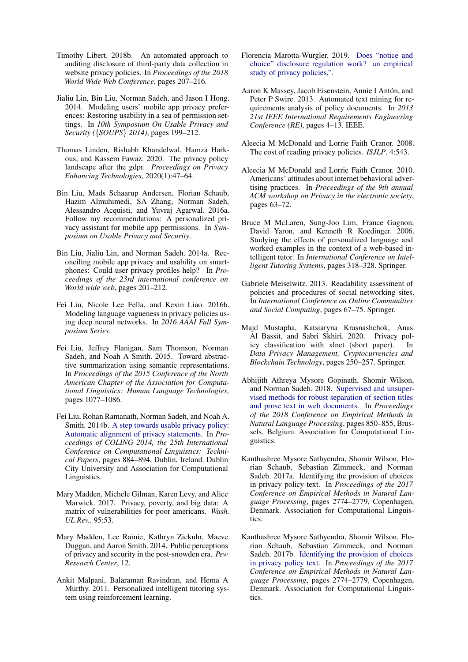- <span id="page-11-13"></span>Timothy Libert. 2018b. An automated approach to auditing disclosure of third-party data collection in website privacy policies. In *Proceedings of the 2018 World Wide Web Conference*, pages 207–216.
- <span id="page-11-19"></span>Jialiu Lin, Bin Liu, Norman Sadeh, and Jason I Hong. 2014. Modeling users' mobile app privacy preferences: Restoring usability in a sea of permission settings. In *10th Symposium On Usable Privacy and Security (*{*SOUPS*} *2014)*, pages 199–212.
- <span id="page-11-2"></span>Thomas Linden, Rishabh Khandelwal, Hamza Harkous, and Kassem Fawaz. 2020. The privacy policy landscape after the gdpr. *Proceedings on Privacy Enhancing Technologies*, 2020(1):47–64.
- <span id="page-11-20"></span>Bin Liu, Mads Schaarup Andersen, Florian Schaub, Hazim Almuhimedi, SA Zhang, Norman Sadeh, Alessandro Acquisti, and Yuvraj Agarwal. 2016a. Follow my recommendations: A personalized privacy assistant for mobile app permissions. In *Symposium on Usable Privacy and Security*.
- <span id="page-11-18"></span>Bin Liu, Jialiu Lin, and Norman Sadeh. 2014a. Reconciling mobile app privacy and usability on smartphones: Could user privacy profiles help? In *Proceedings of the 23rd international conference on World wide web*, pages 201–212.
- <span id="page-11-14"></span>Fei Liu, Nicole Lee Fella, and Kexin Liao. 2016b. Modeling language vagueness in privacy policies using deep neural networks. In *2016 AAAI Fall Symposium Series*.
- <span id="page-11-12"></span>Fei Liu, Jeffrey Flanigan, Sam Thomson, Norman Sadeh, and Noah A Smith. 2015. Toward abstractive summarization using semantic representations. In *Proceedings of the 2015 Conference of the North American Chapter of the Association for Computational Linguistics: Human Language Technologies*, pages 1077–1086.
- <span id="page-11-8"></span>Fei Liu, Rohan Ramanath, Norman Sadeh, and Noah A. Smith. 2014b. [A step towards usable privacy policy:](https://www.aclweb.org/anthology/C14-1084) [Automatic alignment of privacy statements.](https://www.aclweb.org/anthology/C14-1084) In *Proceedings of COLING 2014, the 25th International Conference on Computational Linguistics: Technical Papers*, pages 884–894, Dublin, Ireland. Dublin City University and Association for Computational Linguistics.
- <span id="page-11-3"></span>Mary Madden, Michele Gilman, Karen Levy, and Alice Marwick. 2017. Privacy, poverty, and big data: A matrix of vulnerabilities for poor americans. *Wash. UL Rev.*, 95:53.
- <span id="page-11-1"></span>Mary Madden, Lee Rainie, Kathryn Zickuhr, Maeve Duggan, and Aaron Smith. 2014. Public perceptions of privacy and security in the post-snowden era. *Pew Research Center*, 12.
- <span id="page-11-17"></span>Ankit Malpani, Balaraman Ravindran, and Hema A Murthy. 2011. Personalized intelligent tutoring system using reinforcement learning.
- <span id="page-11-4"></span>Florencia Marotta-Wurgler. 2019. [Does "notice and](https://www.law.umich.edu/centersandprograms/lawandeconomics/workshops/Documents/Paper13.Marotta-Wurgler.Does%20Notice%20and%20Choice%20Disclosure%20Work.pdf) [choice" disclosure regulation work? an empirical](https://www.law.umich.edu/centersandprograms/lawandeconomics/workshops/Documents/Paper13.Marotta-Wurgler.Does%20Notice%20and%20Choice%20Disclosure%20Work.pdf) [study of privacy policies,".](https://www.law.umich.edu/centersandprograms/lawandeconomics/workshops/Documents/Paper13.Marotta-Wurgler.Does%20Notice%20and%20Choice%20Disclosure%20Work.pdf)
- <span id="page-11-5"></span>Aaron K Massey, Jacob Eisenstein, Annie I Antón, and Peter P Swire. 2013. Automated text mining for requirements analysis of policy documents. In *2013 21st IEEE International Requirements Engineering Conference (RE)*, pages 4–13. IEEE.
- <span id="page-11-0"></span>Aleecia M McDonald and Lorrie Faith Cranor. 2008. The cost of reading privacy policies. *ISJLP*, 4:543.
- <span id="page-11-10"></span>Aleecia M McDonald and Lorrie Faith Cranor. 2010. Americans' attitudes about internet behavioral advertising practices. In *Proceedings of the 9th annual ACM workshop on Privacy in the electronic society*, pages 63–72.
- <span id="page-11-16"></span>Bruce M McLaren, Sung-Joo Lim, France Gagnon, David Yaron, and Kenneth R Koedinger. 2006. Studying the effects of personalized language and worked examples in the context of a web-based intelligent tutor. In *International Conference on Intelligent Tutoring Systems*, pages 318–328. Springer.
- <span id="page-11-6"></span>Gabriele Meiselwitz. 2013. Readability assessment of policies and procedures of social networking sites. In *International Conference on Online Communities and Social Computing*, pages 67–75. Springer.
- <span id="page-11-15"></span>Majd Mustapha, Katsiaryna Krasnashchok, Anas Al Bassit, and Sabri Skhiri. 2020. Privacy policy classification with xlnet (short paper). In *Data Privacy Management, Cryptocurrencies and Blockchain Technology*, pages 250–257. Springer.
- <span id="page-11-7"></span>Abhijith Athreya Mysore Gopinath, Shomir Wilson, and Norman Sadeh. 2018. [Supervised and unsuper](https://doi.org/10.18653/v1/D18-1099)[vised methods for robust separation of section titles](https://doi.org/10.18653/v1/D18-1099) [and prose text in web documents.](https://doi.org/10.18653/v1/D18-1099) In *Proceedings of the 2018 Conference on Empirical Methods in Natural Language Processing*, pages 850–855, Brussels, Belgium. Association for Computational Linguistics.
- <span id="page-11-9"></span>Kanthashree Mysore Sathyendra, Shomir Wilson, Florian Schaub, Sebastian Zimmeck, and Norman Sadeh. 2017a. Identifying the provision of choices in privacy policy text. In *Proceedings of the 2017 Conference on Empirical Methods in Natural Language Processing*, pages 2774–2779, Copenhagen, Denmark. Association for Computational Linguistics.
- <span id="page-11-11"></span>Kanthashree Mysore Sathyendra, Shomir Wilson, Florian Schaub, Sebastian Zimmeck, and Norman Sadeh. 2017b. [Identifying the provision of choices](https://doi.org/10.18653/v1/D17-1294) [in privacy policy text.](https://doi.org/10.18653/v1/D17-1294) In *Proceedings of the 2017 Conference on Empirical Methods in Natural Language Processing*, pages 2774–2779, Copenhagen, Denmark. Association for Computational Linguistics.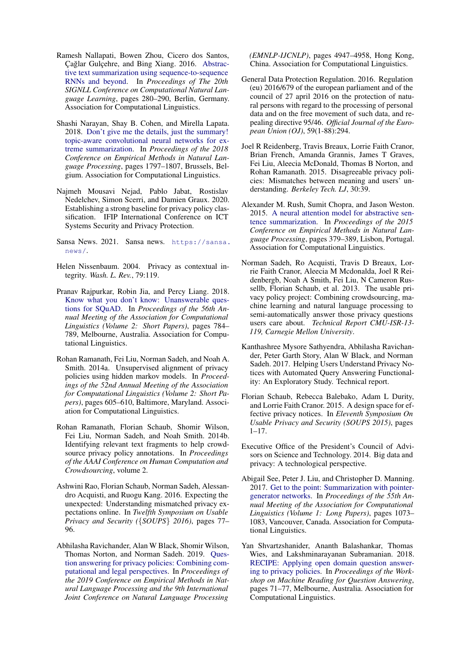- <span id="page-12-5"></span>Ramesh Nallapati, Bowen Zhou, Cicero dos Santos, Cağlar Gulcehre, and Bing Xiang. 2016. [Abstrac](https://doi.org/10.18653/v1/K16-1028)[tive text summarization using sequence-to-sequence](https://doi.org/10.18653/v1/K16-1028) [RNNs and beyond.](https://doi.org/10.18653/v1/K16-1028) In *Proceedings of The 20th SIGNLL Conference on Computational Natural Language Learning*, pages 280–290, Berlin, Germany. Association for Computational Linguistics.
- <span id="page-12-6"></span>Shashi Narayan, Shay B. Cohen, and Mirella Lapata. 2018. [Don't give me the details, just the summary!](https://doi.org/10.18653/v1/D18-1206) [topic-aware convolutional neural networks for ex](https://doi.org/10.18653/v1/D18-1206)[treme summarization.](https://doi.org/10.18653/v1/D18-1206) In *Proceedings of the 2018 Conference on Empirical Methods in Natural Language Processing*, pages 1797–1807, Brussels, Belgium. Association for Computational Linguistics.
- <span id="page-12-17"></span>Najmeh Mousavi Nejad, Pablo Jabat, Rostislav Nedelchev, Simon Scerri, and Damien Graux. 2020. Establishing a strong baseline for privacy policy classification. IFIP International Conference on ICT Systems Security and Privacy Protection.
- <span id="page-12-4"></span>Sansa News. 2021. Sansa news. [https://sansa.](https://sansa.news/) [news/](https://sansa.news/).
- <span id="page-12-15"></span>Helen Nissenbaum. 2004. Privacy as contextual integrity. *Wash. L. Rev.*, 79:119.
- <span id="page-12-18"></span>Pranav Rajpurkar, Robin Jia, and Percy Liang. 2018. [Know what you don't know: Unanswerable ques](https://doi.org/10.18653/v1/P18-2124)[tions for SQuAD.](https://doi.org/10.18653/v1/P18-2124) In *Proceedings of the 56th Annual Meeting of the Association for Computational Linguistics (Volume 2: Short Papers)*, pages 784– 789, Melbourne, Australia. Association for Computational Linguistics.
- <span id="page-12-12"></span>Rohan Ramanath, Fei Liu, Norman Sadeh, and Noah A. Smith. 2014a. Unsupervised alignment of privacy policies using hidden markov models. In *Proceedings of the 52nd Annual Meeting of the Association for Computational Linguistics (Volume 2: Short Papers)*, pages 605–610, Baltimore, Maryland. Association for Computational Linguistics.
- <span id="page-12-16"></span>Rohan Ramanath, Florian Schaub, Shomir Wilson, Fei Liu, Norman Sadeh, and Noah Smith. 2014b. Identifying relevant text fragments to help crowdsource privacy policy annotations. In *Proceedings of the AAAI Conference on Human Computation and Crowdsourcing*, volume 2.
- <span id="page-12-13"></span>Ashwini Rao, Florian Schaub, Norman Sadeh, Alessandro Acquisti, and Ruogu Kang. 2016. Expecting the unexpected: Understanding mismatched privacy expectations online. In *Twelfth Symposium on Usable Privacy and Security (*{*SOUPS*} *2016)*, pages 77– 96.
- <span id="page-12-11"></span>Abhilasha Ravichander, Alan W Black, Shomir Wilson, Thomas Norton, and Norman Sadeh. 2019. [Ques](https://doi.org/10.18653/v1/D19-1500)[tion answering for privacy policies: Combining com](https://doi.org/10.18653/v1/D19-1500)[putational and legal perspectives.](https://doi.org/10.18653/v1/D19-1500) In *Proceedings of the 2019 Conference on Empirical Methods in Natural Language Processing and the 9th International Joint Conference on Natural Language Processing*

*(EMNLP-IJCNLP)*, pages 4947–4958, Hong Kong, China. Association for Computational Linguistics.

- <span id="page-12-9"></span>General Data Protection Regulation. 2016. Regulation (eu) 2016/679 of the european parliament and of the council of 27 april 2016 on the protection of natural persons with regard to the processing of personal data and on the free movement of such data, and repealing directive 95/46. *Official Journal of the European Union (OJ)*, 59(1-88):294.
- <span id="page-12-0"></span>Joel R Reidenberg, Travis Breaux, Lorrie Faith Cranor, Brian French, Amanda Grannis, James T Graves, Fei Liu, Aleecia McDonald, Thomas B Norton, and Rohan Ramanath. 2015. Disagreeable privacy policies: Mismatches between meaning and users' understanding. *Berkeley Tech. LJ*, 30:39.
- <span id="page-12-2"></span>Alexander M. Rush, Sumit Chopra, and Jason Weston. 2015. [A neural attention model for abstractive sen](https://doi.org/10.18653/v1/D15-1044)[tence summarization.](https://doi.org/10.18653/v1/D15-1044) In *Proceedings of the 2015 Conference on Empirical Methods in Natural Language Processing*, pages 379–389, Lisbon, Portugal. Association for Computational Linguistics.
- <span id="page-12-7"></span>Norman Sadeh, Ro Acquisti, Travis D Breaux, Lorrie Faith Cranor, Aleecia M Mcdonalda, Joel R Reidenbergb, Noah A Smith, Fei Liu, N Cameron Russellb, Florian Schaub, et al. 2013. The usable privacy policy project: Combining crowdsourcing, machine learning and natural language processing to semi-automatically answer those privacy questions users care about. *Technical Report CMU-ISR-13- 119, Carnegie Mellon University*.
- <span id="page-12-10"></span>Kanthashree Mysore Sathyendra, Abhilasha Ravichander, Peter Garth Story, Alan W Black, and Norman Sadeh. 2017. Helping Users Understand Privacy Notices with Automated Query Answering Functionality: An Exploratory Study. Technical report.
- <span id="page-12-1"></span>Florian Schaub, Rebecca Balebako, Adam L Durity, and Lorrie Faith Cranor. 2015. A design space for effective privacy notices. In *Eleventh Symposium On Usable Privacy and Security (SOUPS 2015)*, pages 1–17.
- <span id="page-12-8"></span>Executive Office of the President's Council of Advisors on Science and Technology. 2014. Big data and privacy: A technological perspective.
- <span id="page-12-3"></span>Abigail See, Peter J. Liu, and Christopher D. Manning. 2017. [Get to the point: Summarization with pointer](https://doi.org/10.18653/v1/P17-1099)[generator networks.](https://doi.org/10.18653/v1/P17-1099) In *Proceedings of the 55th Annual Meeting of the Association for Computational Linguistics (Volume 1: Long Papers)*, pages 1073– 1083, Vancouver, Canada. Association for Computational Linguistics.
- <span id="page-12-14"></span>Yan Shvartzshanider, Ananth Balashankar, Thomas Wies, and Lakshminarayanan Subramanian. 2018. [RECIPE: Applying open domain question answer](https://doi.org/10.18653/v1/W18-2608)[ing to privacy policies.](https://doi.org/10.18653/v1/W18-2608) In *Proceedings of the Workshop on Machine Reading for Question Answering*, pages 71–77, Melbourne, Australia. Association for Computational Linguistics.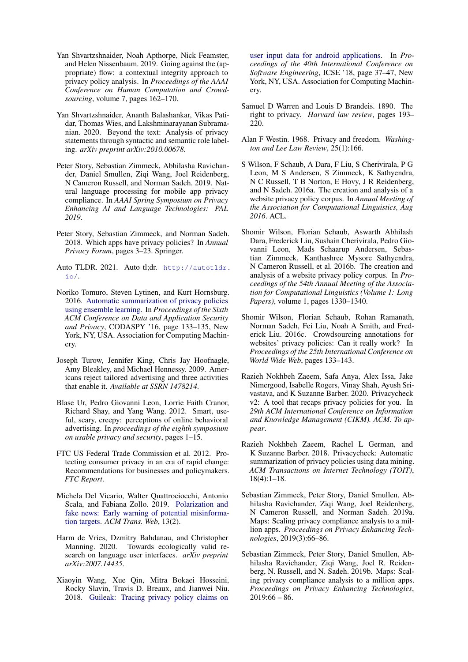- <span id="page-13-17"></span>Yan Shvartzshnaider, Noah Apthorpe, Nick Feamster, and Helen Nissenbaum. 2019. Going against the (appropriate) flow: a contextual integrity approach to privacy policy analysis. In *Proceedings of the AAAI Conference on Human Computation and Crowdsourcing*, volume 7, pages 162–170.
- <span id="page-13-16"></span>Yan Shvartzshnaider, Ananth Balashankar, Vikas Patidar, Thomas Wies, and Lakshminarayanan Subramanian. 2020. Beyond the text: Analysis of privacy statements through syntactic and semantic role labeling. *arXiv preprint arXiv:2010.00678*.
- <span id="page-13-12"></span>Peter Story, Sebastian Zimmeck, Abhilasha Ravichander, Daniel Smullen, Ziqi Wang, Joel Reidenberg, N Cameron Russell, and Norman Sadeh. 2019. Natural language processing for mobile app privacy compliance. In *AAAI Spring Symposium on Privacy Enhancing AI and Language Technologies: PAL 2019*.
- <span id="page-13-19"></span>Peter Story, Sebastian Zimmeck, and Norman Sadeh. 2018. Which apps have privacy policies? In *Annual Privacy Forum*, pages 3–23. Springer.
- <span id="page-13-0"></span>Auto TLDR. 2021. Auto tl;dr. [http://autotldr.](http://autotldr.io/) [io/](http://autotldr.io/).
- <span id="page-13-13"></span>Noriko Tomuro, Steven Lytinen, and Kurt Hornsburg. 2016. [Automatic summarization of privacy policies](https://doi.org/10.1145/2857705.2857741) [using ensemble learning.](https://doi.org/10.1145/2857705.2857741) In *Proceedings of the Sixth ACM Conference on Data and Application Security and Privacy*, CODASPY '16, page 133–135, New York, NY, USA. Association for Computing Machinery.
- <span id="page-13-8"></span>Joseph Turow, Jennifer King, Chris Jay Hoofnagle, Amy Bleakley, and Michael Hennessy. 2009. Americans reject tailored advertising and three activities that enable it. *Available at SSRN 1478214*.
- <span id="page-13-9"></span>Blase Ur, Pedro Giovanni Leon, Lorrie Faith Cranor, Richard Shay, and Yang Wang. 2012. Smart, useful, scary, creepy: perceptions of online behavioral advertising. In *proceedings of the eighth symposium on usable privacy and security*, pages 1–15.
- <span id="page-13-3"></span>FTC US Federal Trade Commission et al. 2012. Protecting consumer privacy in an era of rapid change: Recommendations for businesses and policymakers. *FTC Report*.
- <span id="page-13-4"></span>Michela Del Vicario, Walter Quattrociocchi, Antonio Scala, and Fabiana Zollo. 2019. [Polarization and](https://doi.org/10.1145/3316809) [fake news: Early warning of potential misinforma](https://doi.org/10.1145/3316809)[tion targets.](https://doi.org/10.1145/3316809) *ACM Trans. Web*, 13(2).
- <span id="page-13-15"></span>Harm de Vries, Dzmitry Bahdanau, and Christopher Manning. 2020. Towards ecologically valid research on language user interfaces. *arXiv preprint arXiv:2007.14435*.
- <span id="page-13-10"></span>Xiaoyin Wang, Xue Qin, Mitra Bokaei Hosseini, Rocky Slavin, Travis D. Breaux, and Jianwei Niu. 2018. [Guileak: Tracing privacy policy claims on](https://doi.org/10.1145/3180155.3180196)

[user input data for android applications.](https://doi.org/10.1145/3180155.3180196) In *Proceedings of the 40th International Conference on Software Engineering*, ICSE '18, page 37–47, New York, NY, USA. Association for Computing Machinery.

- <span id="page-13-1"></span>Samuel D Warren and Louis D Brandeis. 1890. The right to privacy. *Harvard law review*, pages 193– 220.
- <span id="page-13-2"></span>Alan F Westin. 1968. Privacy and freedom. *Washington and Lee Law Review*, 25(1):166.
- <span id="page-13-20"></span>S Wilson, F Schaub, A Dara, F Liu, S Cherivirala, P G Leon, M S Andersen, S Zimmeck, K Sathyendra, N C Russell, T B Norton, E Hovy, J R Reidenberg, and N Sadeh. 2016a. The creation and analysis of a website privacy policy corpus. In *Annual Meeting of the Association for Computational Linguistics, Aug 2016*. ACL.
- <span id="page-13-6"></span>Shomir Wilson, Florian Schaub, Aswarth Abhilash Dara, Frederick Liu, Sushain Cherivirala, Pedro Giovanni Leon, Mads Schaarup Andersen, Sebastian Zimmeck, Kanthashree Mysore Sathyendra, N Cameron Russell, et al. 2016b. The creation and analysis of a website privacy policy corpus. In *Proceedings of the 54th Annual Meeting of the Association for Computational Linguistics (Volume 1: Long Papers)*, volume 1, pages 1330–1340.
- <span id="page-13-18"></span>Shomir Wilson, Florian Schaub, Rohan Ramanath, Norman Sadeh, Fei Liu, Noah A Smith, and Frederick Liu. 2016c. Crowdsourcing annotations for websites' privacy policies: Can it really work? In *Proceedings of the 25th International Conference on World Wide Web*, pages 133–143.
- <span id="page-13-14"></span>Razieh Nokhbeh Zaeem, Safa Anya, Alex Issa, Jake Nimergood, Isabelle Rogers, Vinay Shah, Ayush Srivastava, and K Suzanne Barber. 2020. Privacycheck v2: A tool that recaps privacy policies for you. In *29th ACM International Conference on Information and Knowledge Management (CIKM). ACM. To appear*.
- <span id="page-13-7"></span>Razieh Nokhbeh Zaeem, Rachel L German, and K Suzanne Barber. 2018. Privacycheck: Automatic summarization of privacy policies using data mining. *ACM Transactions on Internet Technology (TOIT)*, 18(4):1–18.
- <span id="page-13-5"></span>Sebastian Zimmeck, Peter Story, Daniel Smullen, Abhilasha Ravichander, Ziqi Wang, Joel Reidenberg, N Cameron Russell, and Norman Sadeh. 2019a. Maps: Scaling privacy compliance analysis to a million apps. *Proceedings on Privacy Enhancing Technologies*, 2019(3):66–86.
- <span id="page-13-11"></span>Sebastian Zimmeck, Peter Story, Daniel Smullen, Abhilasha Ravichander, Ziqi Wang, Joel R. Reidenberg, N. Russell, and N. Sadeh. 2019b. Maps: Scaling privacy compliance analysis to a million apps. *Proceedings on Privacy Enhancing Technologies*,  $2019:66 - 86.$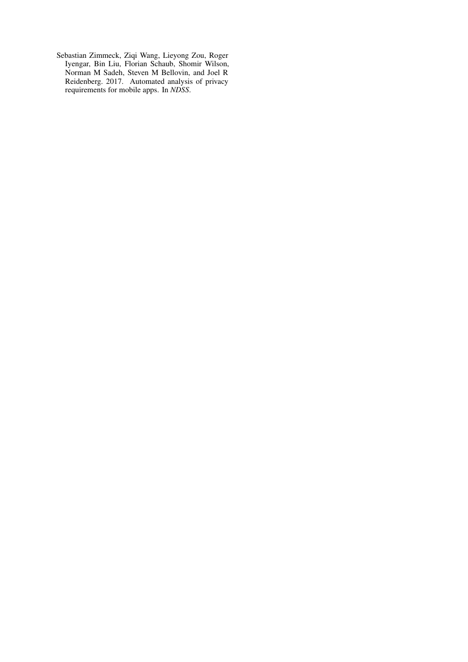<span id="page-14-0"></span>Sebastian Zimmeck, Ziqi Wang, Lieyong Zou, Roger Iyengar, Bin Liu, Florian Schaub, Shomir Wilson, Norman M Sadeh, Steven M Bellovin, and Joel R Reidenberg. 2017. Automated analysis of privacy requirements for mobile apps. In *NDSS*.